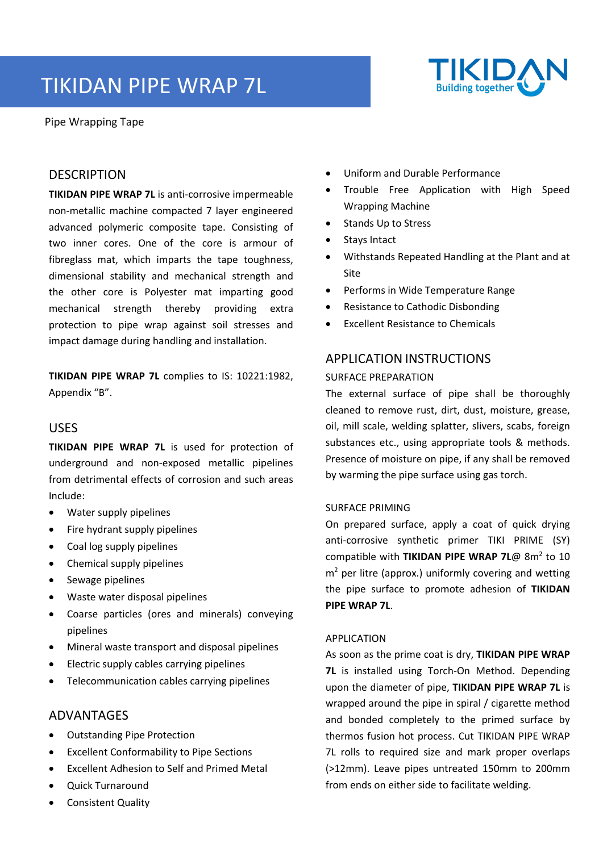# TIKIDAN PIPE WRAP 7L



Pipe Wrapping Tape

# **DESCRIPTION**

**TIKIDAN PIPE WRAP 7L** is anti‐corrosive impermeable non‐metallic machine compacted 7 layer engineered advanced polymeric composite tape. Consisting of two inner cores. One of the core is armour of fibreglass mat, which imparts the tape toughness, dimensional stability and mechanical strength and the other core is Polyester mat imparting good mechanical strength thereby providing extra protection to pipe wrap against soil stresses and impact damage during handling and installation.

**TIKIDAN PIPE WRAP 7L** complies to IS: 10221:1982, Appendix "B".

# USES

**TIKIDAN PIPE WRAP 7L** is used for protection of underground and non‐exposed metallic pipelines from detrimental effects of corrosion and such areas Include:

- Water supply pipelines
- Fire hydrant supply pipelines
- Coal log supply pipelines
- Chemical supply pipelines
- Sewage pipelines
- Waste water disposal pipelines
- Coarse particles (ores and minerals) conveying pipelines
- Mineral waste transport and disposal pipelines
- Electric supply cables carrying pipelines
- Telecommunication cables carrying pipelines

# ADVANTAGES

- Outstanding Pipe Protection
- Excellent Conformability to Pipe Sections
- Excellent Adhesion to Self and Primed Metal
- Quick Turnaround
- Consistent Quality
- Uniform and Durable Performance
- Trouble Free Application with High Speed Wrapping Machine
- Stands Up to Stress
- Stays Intact
- Withstands Repeated Handling at the Plant and at Site
- Performs in Wide Temperature Range
- Resistance to Cathodic Disbonding
- Excellent Resistance to Chemicals

# APPLICATION INSTRUCTIONS SURFACE PREPARATION

The external surface of pipe shall be thoroughly cleaned to remove rust, dirt, dust, moisture, grease, oil, mill scale, welding splatter, slivers, scabs, foreign substances etc., using appropriate tools & methods. Presence of moisture on pipe, if any shall be removed by warming the pipe surface using gas torch.

#### SURFACE PRIMING

On prepared surface, apply a coat of quick drying anti-corrosive synthetic primer TIKI PRIME (SY) compatible with TIKIDAN PIPE WRAP 7L@ 8m<sup>2</sup> to 10  $m<sup>2</sup>$  per litre (approx.) uniformly covering and wetting the pipe surface to promote adhesion of **TIKIDAN PIPE WRAP 7L**.

#### APPLICATION

As soon as the prime coat is dry, **TIKIDAN PIPE WRAP 7L** is installed using Torch‐On Method. Depending upon the diameter of pipe, **TIKIDAN PIPE WRAP 7L** is wrapped around the pipe in spiral / cigarette method and bonded completely to the primed surface by thermos fusion hot process. Cut TIKIDAN PIPE WRAP 7L rolls to required size and mark proper overlaps (>12mm). Leave pipes untreated 150mm to 200mm from ends on either side to facilitate welding.